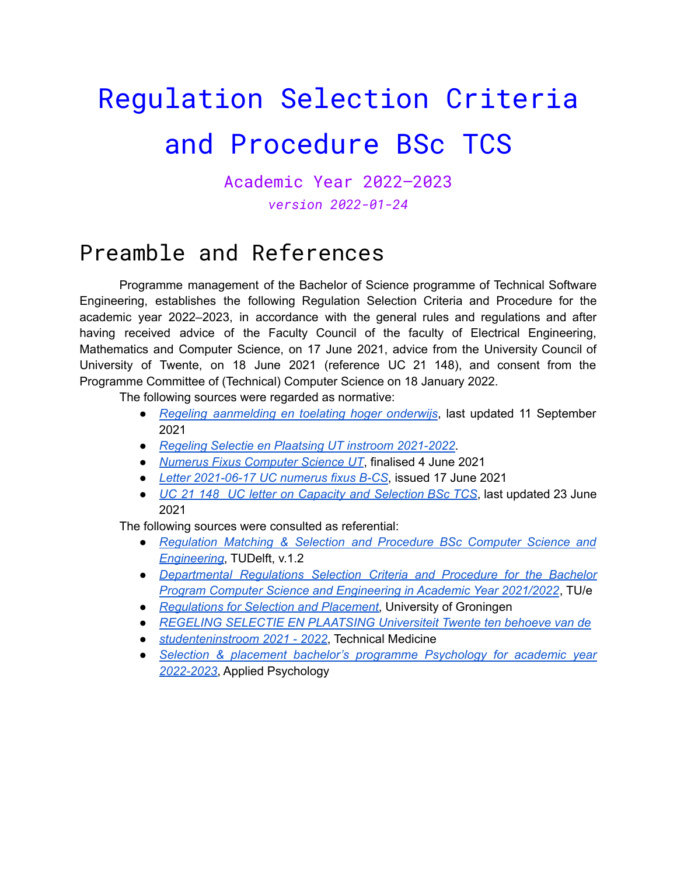# Regulation Selection Criteria and Procedure BSc TCS

Academic Year 2022–2023 *version 2022-01-24*

### Preamble and References

Programme management of the Bachelor of Science programme of Technical Software Engineering, establishes the following Regulation Selection Criteria and Procedure for the academic year 2022–2023, in accordance with the general rules and regulations and after having received advice of the Faculty Council of the faculty of Electrical Engineering, Mathematics and Computer Science, on 17 June 2021, advice from the University Council of University of Twente, on 18 June 2021 (reference UC 21 148), and consent from the Programme Committee of (Technical) Computer Science on 18 January 2022.

The following sources were regarded as normative:

- *Regeling [aanmelding](https://wetten.overheid.nl/BWBR0035059/2021-09-11) en toelating hoger onderwijs*, last updated 11 September 2021
- *Regeling Selectie en Plaatsing UT instroom [2021-2022](https://www.utwente.nl/onderwijs/bachelor/opleidingen/technische-geneeskunde/inschrijving/regeling-selectie-en-plaatsing-2020-2021-ut-tg-def.pdf)*.
- *Numerus Fixus [Computer](https://docs.google.com/document/d/1mdIeQ1pHHPuO_rgMp--OTb5h2XCZcu1ouenCNcRByfA/edit?usp=sharing) Science UT*, finalised 4 June 2021
- *Letter [2021-06-17](https://drive.google.com/file/d/1G9V3AoB1_obVHNwZNc_2kECROMXrWizQ/view?usp=sharing) UC numerus fixus B-CS*, issued 17 June 2021
- *UC 21 148 UC letter on Capacity and [Selection](https://drive.google.com/file/d/1vKlC7jvpn25VNKFBcKz7wkc-tmZyxrE-/view?usp=sharing) BSc TCS*, last updated 23 June 2021

The following sources were consulted as referential:

- *[Regulation](https://d2k0ddhflgrk1i.cloudfront.net/EWI/Studeren/Bacheloropleidingen/Selectieprocedure/Regulation%20Matching%20%26%20Selection%20Criteria%20and%20Procedure%20%20BSc%20CSE%202020-2021-V1.2%20-%20Final.pdf) Matching & Selection and Procedure BSc Computer Science and [Engineering](https://d2k0ddhflgrk1i.cloudfront.net/EWI/Studeren/Bacheloropleidingen/Selectieprocedure/Regulation%20Matching%20%26%20Selection%20Criteria%20and%20Procedure%20%20BSc%20CSE%202020-2021-V1.2%20-%20Final.pdf)*, TUDelft, v.1.2
- *[Departmental](https://assets.tue.nl/fileadmin/user_upload/2020-2021%20BCS%20reglement%20facultaire%20selectie%20FINAL.pdf) Regulations Selection Criteria and Procedure for the Bachelor Program Computer Science and [Engineering](https://assets.tue.nl/fileadmin/user_upload/2020-2021%20BCS%20reglement%20facultaire%20selectie%20FINAL.pdf) in Academic Year 2021/2022*, TU/e
- *[Regulations](https://www.rug.nl/education/bachelor/international-students/admission-and-application/selection-and-placement/0219-reglement-selectie-en-plaatsing-2021-eng.pdf) for Selection and Placement*, University of Groningen
- *● REGELING SELECTIE EN [PLAATSING](https://www.utwente.nl/onderwijs/bachelor/opleidingen/technische-geneeskunde/inschrijving/regeling-selectie-en-plaatsing-2020-2021-ut-tg-def.pdf) Universiteit Twente ten behoeve van de*
- *[studenteninstroom](https://www.utwente.nl/onderwijs/bachelor/opleidingen/technische-geneeskunde/inschrijving/regeling-selectie-en-plaatsing-2020-2021-ut-tg-def.pdf) 2021 - 2022*, Technical Medicine
- *Selection & placement bachelor's programme [Psychology](https://www.utwente.nl/.uc/f7334573801020e557200b881e903de1462bf3983cc1c00/Selection%20and%20Placement%202022-2023%20BSc%20Psychology.pdf) for academic year [2022-2023](https://www.utwente.nl/.uc/f7334573801020e557200b881e903de1462bf3983cc1c00/Selection%20and%20Placement%202022-2023%20BSc%20Psychology.pdf)*, Applied Psychology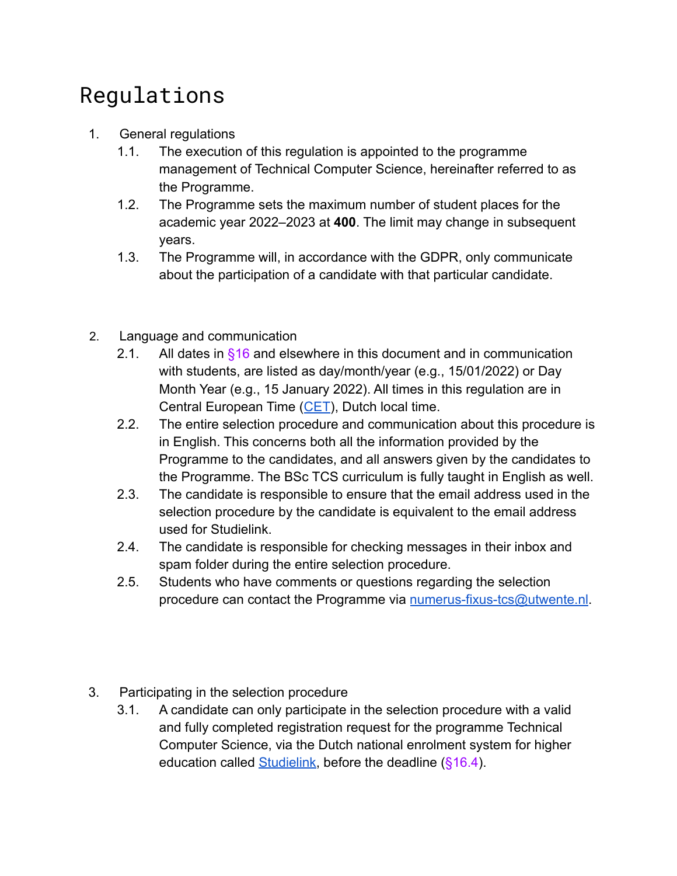# Regulations

- 1. General regulations
	- 1.1. The execution of this regulation is appointed to the programme management of Technical Computer Science, hereinafter referred to as the Programme.
	- 1.2. The Programme sets the maximum number of student places for the academic year 2022–2023 at **400**. The limit may change in subsequent years.
	- 1.3. The Programme will, in accordance with the GDPR, only communicate about the participation of a candidate with that particular candidate.
- 2. Language and communication
	- 2.1. All dates in  $§16$  and elsewhere in this document and in communication with students, are listed as day/month/year (e.g., 15/01/2022) or Day Month Year (e.g., 15 January 2022). All times in this regulation are in Central European Time ([CET\)](https://time.is/CET), Dutch local time.
	- 2.2. The entire selection procedure and communication about this procedure is in English. This concerns both all the information provided by the Programme to the candidates, and all answers given by the candidates to the Programme. The BSc TCS curriculum is fully taught in English as well.
	- 2.3. The candidate is responsible to ensure that the email address used in the selection procedure by the candidate is equivalent to the email address used for Studielink.
	- 2.4. The candidate is responsible for checking messages in their inbox and spam folder during the entire selection procedure.
	- 2.5. Students who have comments or questions regarding the selection procedure can contact the Programme via [numerus-fixus-tcs@utwente.nl](mailto:numerus-fixus-tcs@utwente.nl).
- 3. Participating in the selection procedure
	- 3.1. A candidate can only participate in the selection procedure with a valid and fully completed registration request for the programme Technical Computer Science, via the Dutch national enrolment system for higher education called [Studielink](https://www.studielink.nl/), before the deadline (§16.4).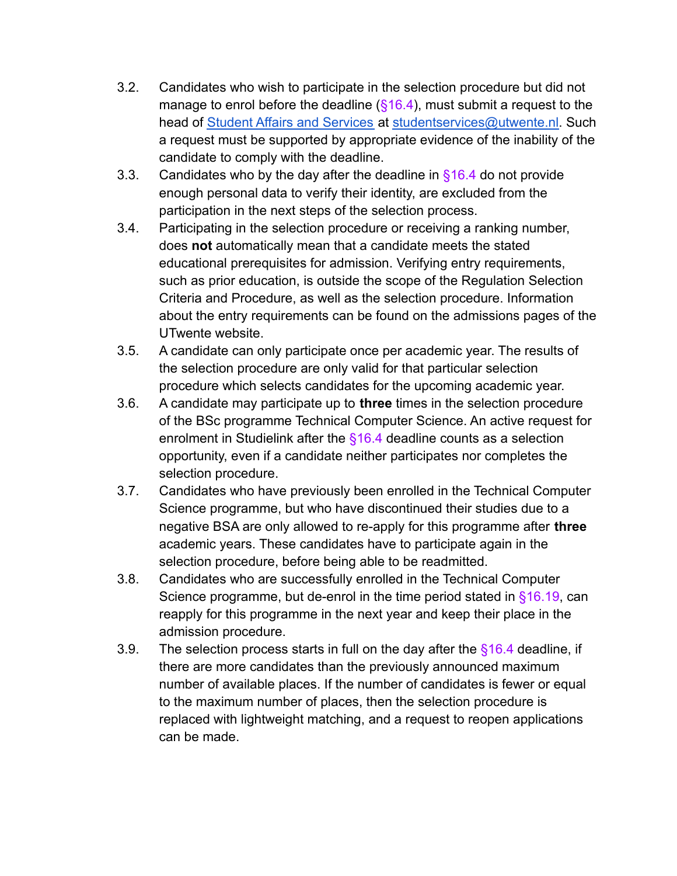- 3.2. Candidates who wish to participate in the selection procedure but did not manage to enrol before the deadline  $(\S 16.4)$ , must submit a request to the head of [Student Affairs and Services](https://www.utwente.nl/en/education/student-services/) at [studentservices@utwente.nl.](mailto:studentservices@utwente.nl) Such a request must be supported by appropriate evidence of the inability of the candidate to comply with the deadline.
- 3.3. Candidates who by the day after the deadline in  $§16.4$  do not provide enough personal data to verify their identity, are excluded from the participation in the next steps of the selection process.
- 3.4. Participating in the selection procedure or receiving a ranking number, does **not** automatically mean that a candidate meets the stated educational prerequisites for admission. Verifying entry requirements, such as prior education, is outside the scope of the Regulation Selection Criteria and Procedure, as well as the selection procedure. Information about the entry requirements can be found on the admissions pages of the UTwente website.
- 3.5. A candidate can only participate once per academic year. The results of the selection procedure are only valid for that particular selection procedure which selects candidates for the upcoming academic year.
- 3.6. A candidate may participate up to **three** times in the selection procedure of the BSc programme Technical Computer Science. An active request for enrolment in Studielink after the §16.4 deadline counts as a selection opportunity, even if a candidate neither participates nor completes the selection procedure.
- 3.7. Candidates who have previously been enrolled in the Technical Computer Science programme, but who have discontinued their studies due to a negative BSA are only allowed to re-apply for this programme after **three** academic years. These candidates have to participate again in the selection procedure, before being able to be readmitted.
- 3.8. Candidates who are successfully enrolled in the Technical Computer Science programme, but de-enrol in the time period stated in §16.19, can reapply for this programme in the next year and keep their place in the admission procedure.
- 3.9. The selection process starts in full on the day after the  $§16.4$  deadline, if there are more candidates than the previously announced maximum number of available places. If the number of candidates is fewer or equal to the maximum number of places, then the selection procedure is replaced with lightweight matching, and a request to reopen applications can be made.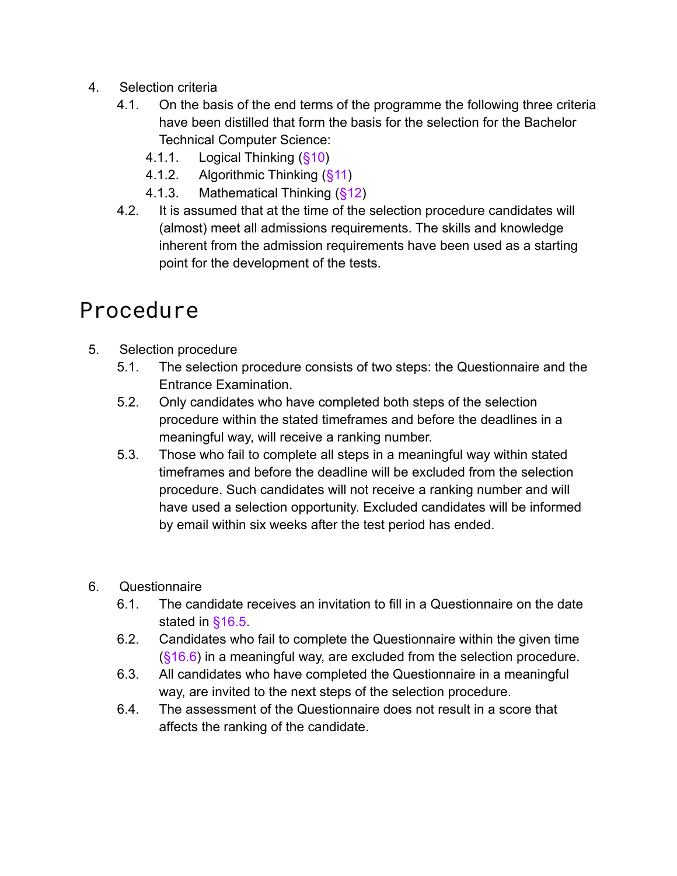- 4. Selection criteria
	- 4.1. On the basis of the end terms of the programme the following three criteria have been distilled that form the basis for the selection for the Bachelor Technical Computer Science:
		- 4.1.1. Logical Thinking (§10)
		- 4.1.2. Algorithmic Thinking (§11)
		- 4.1.3. Mathematical Thinking (§12)
	- 4.2. It is assumed that at the time of the selection procedure candidates will (almost) meet all admissions requirements. The skills and knowledge inherent from the admission requirements have been used as a starting point for the development of the tests.

### Procedure

- 5. Selection procedure
	- 5.1. The selection procedure consists of two steps: the Questionnaire and the Entrance Examination.
	- 5.2. Only candidates who have completed both steps of the selection procedure within the stated timeframes and before the deadlines in a meaningful way, will receive a ranking number.
	- 5.3. Those who fail to complete all steps in a meaningful way within stated timeframes and before the deadline will be excluded from the selection procedure. Such candidates will not receive a ranking number and will have used a selection opportunity. Excluded candidates will be informed by email within six weeks after the test period has ended.

#### 6. Questionnaire

- 6.1. The candidate receives an invitation to fill in a Questionnaire on the date stated in §16.5
- 6.2. Candidates who fail to complete the Questionnaire within the given time (§16.6) in a meaningful way, are excluded from the selection procedure.
- 6.3. All candidates who have completed the Questionnaire in a meaningful way, are invited to the next steps of the selection procedure.
- 6.4. The assessment of the Questionnaire does not result in a score that affects the ranking of the candidate.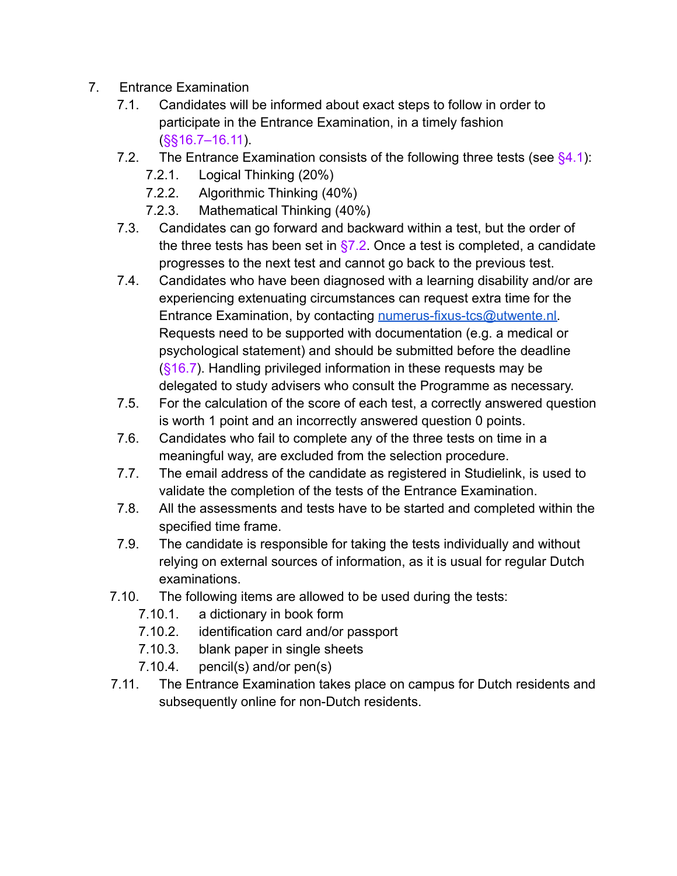- 7. Entrance Examination
	- 7.1. Candidates will be informed about exact steps to follow in order to participate in the Entrance Examination, in a timely fashion (§§16.7–16.11).
	- 7.2. The Entrance Examination consists of the following three tests (see  $\S 4.1$ ):
		- 7.2.1. Logical Thinking (20%)
		- 7.2.2. Algorithmic Thinking (40%)
		- 7.2.3. Mathematical Thinking (40%)
	- 7.3. Candidates can go forward and backward within a test, but the order of the three tests has been set in  $\S$ 7.2. Once a test is completed, a candidate progresses to the next test and cannot go back to the previous test.
	- 7.4. Candidates who have been diagnosed with a learning disability and/or are experiencing extenuating circumstances can request extra time for the Entrance Examination, by contacting [numerus-fixus-tcs@utwente.nl.](mailto:numerus-fixus-tcs@utwente.nl) Requests need to be supported with documentation (e.g. a medical or psychological statement) and should be submitted before the deadline (§16.7). Handling privileged information in these requests may be delegated to study advisers who consult the Programme as necessary.
	- 7.5. For the calculation of the score of each test, a correctly answered question is worth 1 point and an incorrectly answered question 0 points.
	- 7.6. Candidates who fail to complete any of the three tests on time in a meaningful way, are excluded from the selection procedure.
	- 7.7. The email address of the candidate as registered in Studielink, is used to validate the completion of the tests of the Entrance Examination.
	- 7.8. All the assessments and tests have to be started and completed within the specified time frame.
	- 7.9. The candidate is responsible for taking the tests individually and without relying on external sources of information, as it is usual for regular Dutch examinations.
	- 7.10. The following items are allowed to be used during the tests:
		- 7.10.1. a dictionary in book form
		- 7.10.2. identification card and/or passport
		- 7.10.3. blank paper in single sheets
		- 7.10.4. pencil(s) and/or pen(s)
	- 7.11. The Entrance Examination takes place on campus for Dutch residents and subsequently online for non-Dutch residents.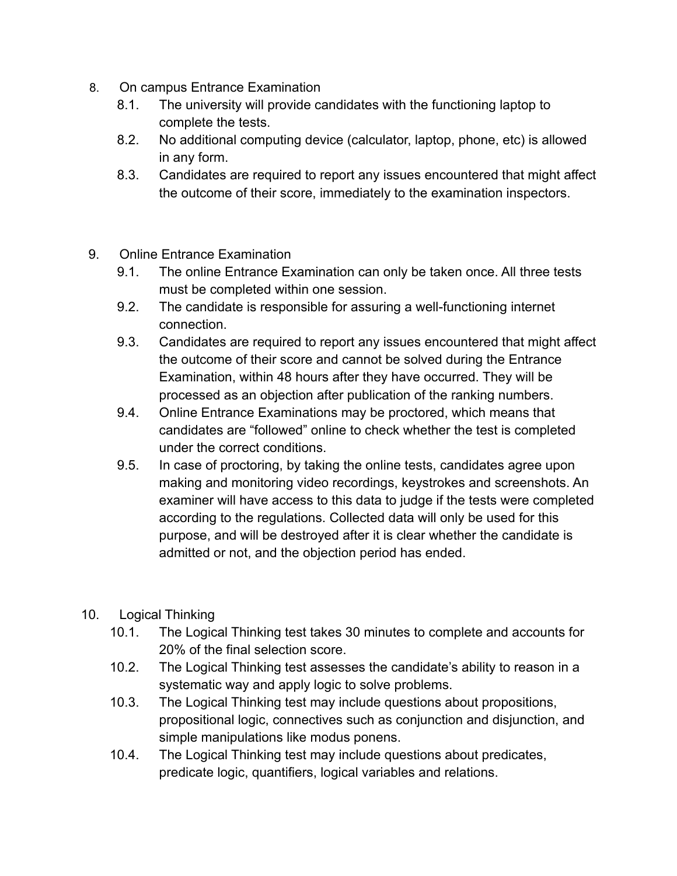- 8. On campus Entrance Examination
	- 8.1. The university will provide candidates with the functioning laptop to complete the tests.
	- 8.2. No additional computing device (calculator, laptop, phone, etc) is allowed in any form.
	- 8.3. Candidates are required to report any issues encountered that might affect the outcome of their score, immediately to the examination inspectors.
- 9. Online Entrance Examination
	- 9.1. The online Entrance Examination can only be taken once. All three tests must be completed within one session.
	- 9.2. The candidate is responsible for assuring a well-functioning internet connection.
	- 9.3. Candidates are required to report any issues encountered that might affect the outcome of their score and cannot be solved during the Entrance Examination, within 48 hours after they have occurred. They will be processed as an objection after publication of the ranking numbers.
	- 9.4. Online Entrance Examinations may be proctored, which means that candidates are "followed" online to check whether the test is completed under the correct conditions.
	- 9.5. In case of proctoring, by taking the online tests, candidates agree upon making and monitoring video recordings, keystrokes and screenshots. An examiner will have access to this data to judge if the tests were completed according to the regulations. Collected data will only be used for this purpose, and will be destroyed after it is clear whether the candidate is admitted or not, and the objection period has ended.
- 10. Logical Thinking
	- 10.1. The Logical Thinking test takes 30 minutes to complete and accounts for 20% of the final selection score.
	- 10.2. The Logical Thinking test assesses the candidate's ability to reason in a systematic way and apply logic to solve problems.
	- 10.3. The Logical Thinking test may include questions about propositions, propositional logic, connectives such as conjunction and disjunction, and simple manipulations like modus ponens.
	- 10.4. The Logical Thinking test may include questions about predicates, predicate logic, quantifiers, logical variables and relations.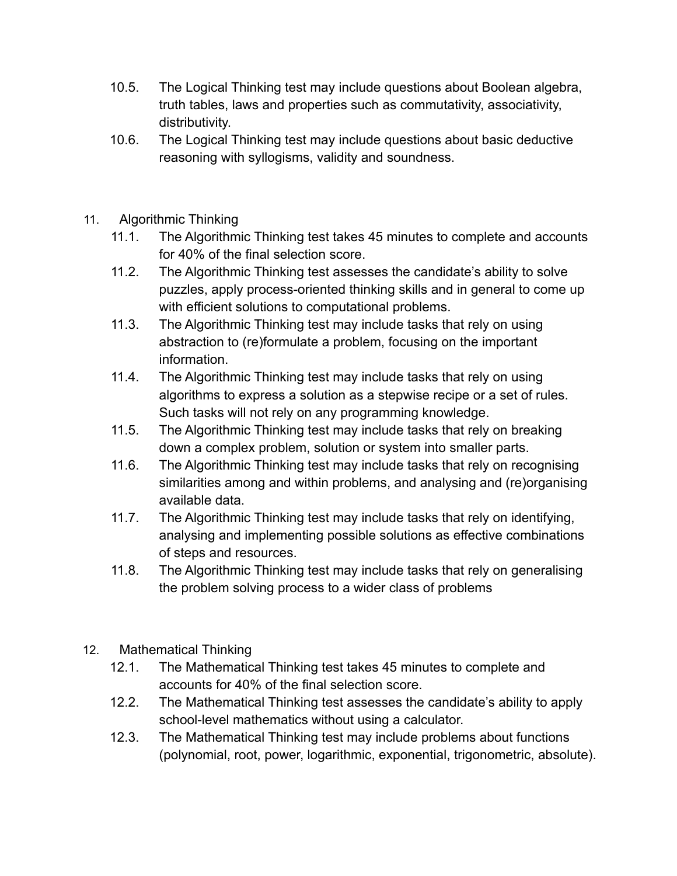- 10.5. The Logical Thinking test may include questions about Boolean algebra, truth tables, laws and properties such as commutativity, associativity, distributivity.
- 10.6. The Logical Thinking test may include questions about basic deductive reasoning with syllogisms, validity and soundness.
- 11. Algorithmic Thinking
	- 11.1. The Algorithmic Thinking test takes 45 minutes to complete and accounts for 40% of the final selection score.
	- 11.2. The Algorithmic Thinking test assesses the candidate's ability to solve puzzles, apply process-oriented thinking skills and in general to come up with efficient solutions to computational problems.
	- 11.3. The Algorithmic Thinking test may include tasks that rely on using abstraction to (re)formulate a problem, focusing on the important information.
	- 11.4. The Algorithmic Thinking test may include tasks that rely on using algorithms to express a solution as a stepwise recipe or a set of rules. Such tasks will not rely on any programming knowledge.
	- 11.5. The Algorithmic Thinking test may include tasks that rely on breaking down a complex problem, solution or system into smaller parts.
	- 11.6. The Algorithmic Thinking test may include tasks that rely on recognising similarities among and within problems, and analysing and (re)organising available data.
	- 11.7. The Algorithmic Thinking test may include tasks that rely on identifying, analysing and implementing possible solutions as effective combinations of steps and resources.
	- 11.8. The Algorithmic Thinking test may include tasks that rely on generalising the problem solving process to a wider class of problems
- 12. Mathematical Thinking
	- 12.1. The Mathematical Thinking test takes 45 minutes to complete and accounts for 40% of the final selection score.
	- 12.2. The Mathematical Thinking test assesses the candidate's ability to apply school-level mathematics without using a calculator.
	- 12.3. The Mathematical Thinking test may include problems about functions (polynomial, root, power, logarithmic, exponential, trigonometric, absolute).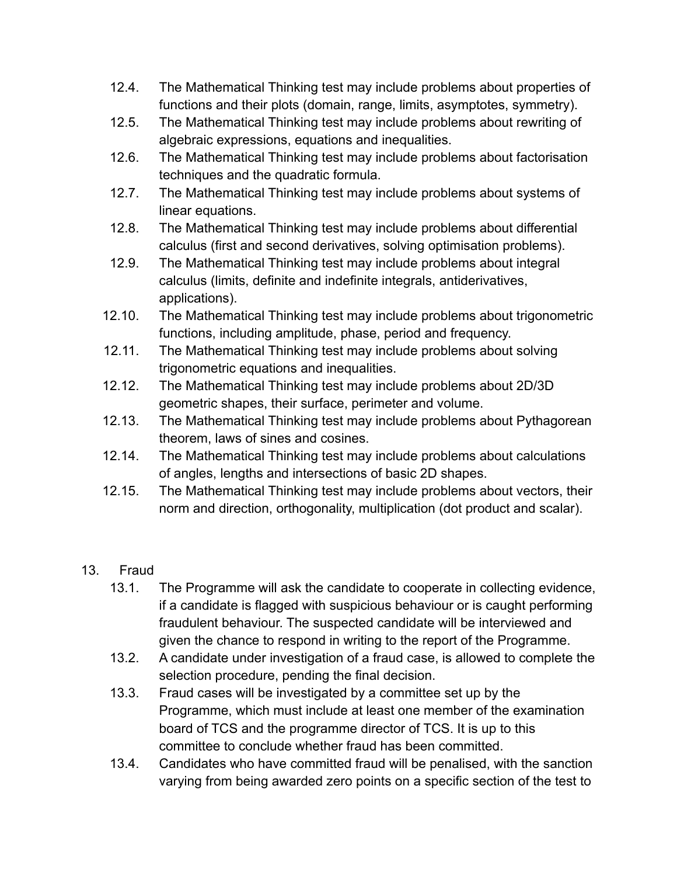- 12.4. The Mathematical Thinking test may include problems about properties of functions and their plots (domain, range, limits, asymptotes, symmetry).
- 12.5. The Mathematical Thinking test may include problems about rewriting of algebraic expressions, equations and inequalities.
- 12.6. The Mathematical Thinking test may include problems about factorisation techniques and the quadratic formula.
- 12.7. The Mathematical Thinking test may include problems about systems of linear equations.
- 12.8. The Mathematical Thinking test may include problems about differential calculus (first and second derivatives, solving optimisation problems).
- 12.9. The Mathematical Thinking test may include problems about integral calculus (limits, definite and indefinite integrals, antiderivatives, applications).
- 12.10. The Mathematical Thinking test may include problems about trigonometric functions, including amplitude, phase, period and frequency.
- 12.11. The Mathematical Thinking test may include problems about solving trigonometric equations and inequalities.
- 12.12. The Mathematical Thinking test may include problems about 2D/3D geometric shapes, their surface, perimeter and volume.
- 12.13. The Mathematical Thinking test may include problems about Pythagorean theorem, laws of sines and cosines.
- 12.14. The Mathematical Thinking test may include problems about calculations of angles, lengths and intersections of basic 2D shapes.
- 12.15. The Mathematical Thinking test may include problems about vectors, their norm and direction, orthogonality, multiplication (dot product and scalar).
- 13. Fraud
	- 13.1. The Programme will ask the candidate to cooperate in collecting evidence, if a candidate is flagged with suspicious behaviour or is caught performing fraudulent behaviour. The suspected candidate will be interviewed and given the chance to respond in writing to the report of the Programme.
	- 13.2. A candidate under investigation of a fraud case, is allowed to complete the selection procedure, pending the final decision.
	- 13.3. Fraud cases will be investigated by a committee set up by the Programme, which must include at least one member of the examination board of TCS and the programme director of TCS. It is up to this committee to conclude whether fraud has been committed.
	- 13.4. Candidates who have committed fraud will be penalised, with the sanction varying from being awarded zero points on a specific section of the test to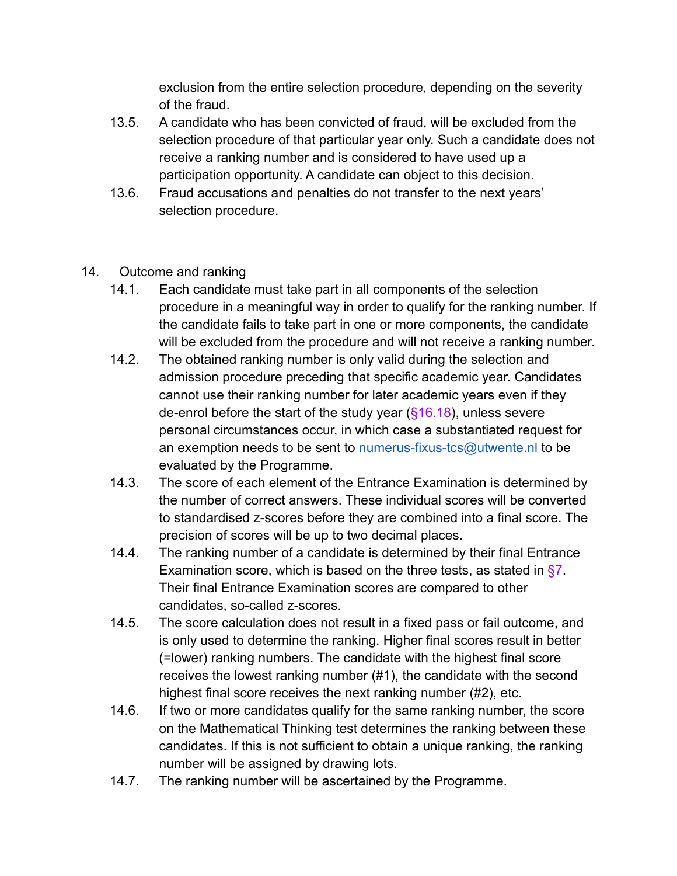exclusion from the entire selection procedure, depending on the severity of the fraud.

- 13.5. A candidate who has been convicted of fraud, will be excluded from the selection procedure of that particular year only. Such a candidate does not receive a ranking number and is considered to have used up a participation opportunity. A candidate can object to this decision.
- 13.6. Fraud accusations and penalties do not transfer to the next years' selection procedure.
- 14. Outcome and ranking
	- 14.1. Each candidate must take part in all components of the selection procedure in a meaningful way in order to qualify for the ranking number. If the candidate fails to take part in one or more components, the candidate will be excluded from the procedure and will not receive a ranking number.
	- 14.2. The obtained ranking number is only valid during the selection and admission procedure preceding that specific academic year. Candidates cannot use their ranking number for later academic years even if they de-enrol before the start of the study year  $(\S 16.18)$ , unless severe personal circumstances occur, in which case a substantiated request for an exemption needs to be sent to [numerus-fixus-tcs@utwente.nl](mailto:numerus-fixus-tcs@utwente.nl) to be evaluated by the Programme.
	- 14.3. The score of each element of the Entrance Examination is determined by the number of correct answers. These individual scores will be converted to standardised z-scores before they are combined into a final score. The precision of scores will be up to two decimal places.
	- 14.4. The ranking number of a candidate is determined by their final Entrance Examination score, which is based on the three tests, as stated in  $\S7$ . Their final Entrance Examination scores are compared to other candidates, so-called z-scores.
	- 14.5. The score calculation does not result in a fixed pass or fail outcome, and is only used to determine the ranking. Higher final scores result in better (=lower) ranking numbers. The candidate with the highest final score receives the lowest ranking number (#1), the candidate with the second highest final score receives the next ranking number (#2), etc.
	- 14.6. If two or more candidates qualify for the same ranking number, the score on the Mathematical Thinking test determines the ranking between these candidates. If this is not sufficient to obtain a unique ranking, the ranking number will be assigned by drawing lots.
	- 14.7. The ranking number will be ascertained by the Programme.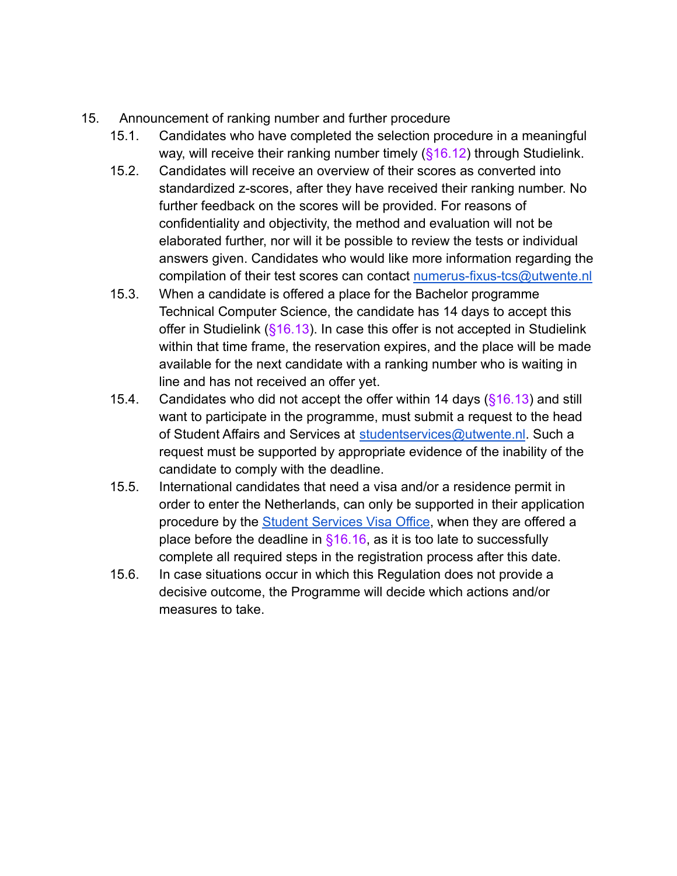- 15. Announcement of ranking number and further procedure
	- 15.1. Candidates who have completed the selection procedure in a meaningful way, will receive their ranking number timely  $(§16.12)$  through Studielink.
	- 15.2. Candidates will receive an overview of their scores as converted into standardized z-scores, after they have received their ranking number. No further feedback on the scores will be provided. For reasons of confidentiality and objectivity, the method and evaluation will not be elaborated further, nor will it be possible to review the tests or individual answers given. Candidates who would like more information regarding the compilation of their test scores can contact [numerus-fixus-tcs@utwente.nl](mailto:numerus-fixus-tcs@utwente.nl)
	- 15.3. When a candidate is offered a place for the Bachelor programme Technical Computer Science, the candidate has 14 days to accept this offer in Studielink  $(\S 16.13)$ . In case this offer is not accepted in Studielink within that time frame, the reservation expires, and the place will be made available for the next candidate with a ranking number who is waiting in line and has not received an offer yet.
	- 15.4. Candidates who did not accept the offer within 14 days  $(\S 16.13)$  and still want to participate in the programme, must submit a request to the head of Student Affairs and Services at [studentservices@utwente.nl](mailto:studentservices@utwente.nl). Such a request must be supported by appropriate evidence of the inability of the candidate to comply with the deadline.
	- 15.5. International candidates that need a visa and/or a residence permit in order to enter the Netherlands, can only be supported in their application procedure by the [Student Services Visa Office](https://www.utwente.nl/en/education/student-services/visa/), when they are offered a place before the deadline in  $$16.16$ , as it is too late to successfully complete all required steps in the registration process after this date.
	- 15.6. In case situations occur in which this Regulation does not provide a decisive outcome, the Programme will decide which actions and/or measures to take.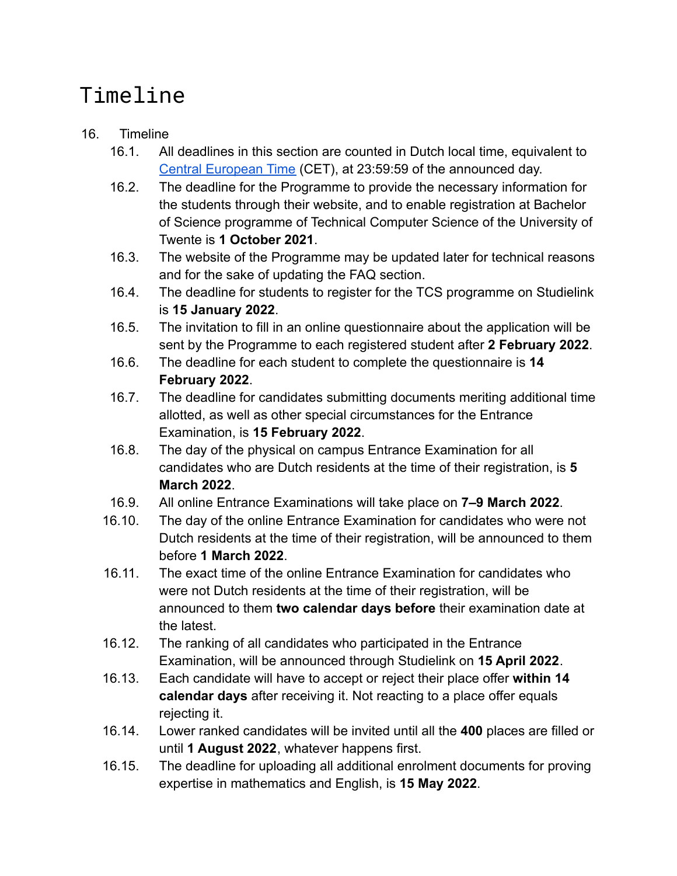# Timeline

#### 16. Timeline

- 16.1. All deadlines in this section are counted in Dutch local time, equivalent to [Central European Time](https://time.is/CET) (CET), at 23:59:59 of the announced day.
- 16.2. The deadline for the Programme to provide the necessary information for the students through their website, and to enable registration at Bachelor of Science programme of Technical Computer Science of the University of Twente is **1 October 2021**.
- 16.3. The website of the Programme may be updated later for technical reasons and for the sake of updating the FAQ section.
- 16.4. The deadline for students to register for the TCS programme on Studielink is **15 January 2022**.
- 16.5. The invitation to fill in an online questionnaire about the application will be sent by the Programme to each registered student after **2 February 2022**.
- 16.6. The deadline for each student to complete the questionnaire is **14 February 2022**.
- 16.7. The deadline for candidates submitting documents meriting additional time allotted, as well as other special circumstances for the Entrance Examination, is **15 February 2022**.
- 16.8. The day of the physical on campus Entrance Examination for all candidates who are Dutch residents at the time of their registration, is **5 March 2022**.
- 16.9. All online Entrance Examinations will take place on **7–9 March 2022**.
- 16.10. The day of the online Entrance Examination for candidates who were not Dutch residents at the time of their registration, will be announced to them before **1 March 2022**.
- 16.11. The exact time of the online Entrance Examination for candidates who were not Dutch residents at the time of their registration, will be announced to them **two calendar days before** their examination date at the latest.
- 16.12. The ranking of all candidates who participated in the Entrance Examination, will be announced through Studielink on **15 April 2022**.
- 16.13. Each candidate will have to accept or reject their place offer **within 14 calendar days** after receiving it. Not reacting to a place offer equals rejecting it.
- 16.14. Lower ranked candidates will be invited until all the **400** places are filled or until **1 August 2022**, whatever happens first.
- 16.15. The deadline for uploading all additional enrolment documents for proving expertise in mathematics and English, is **15 May 2022**.